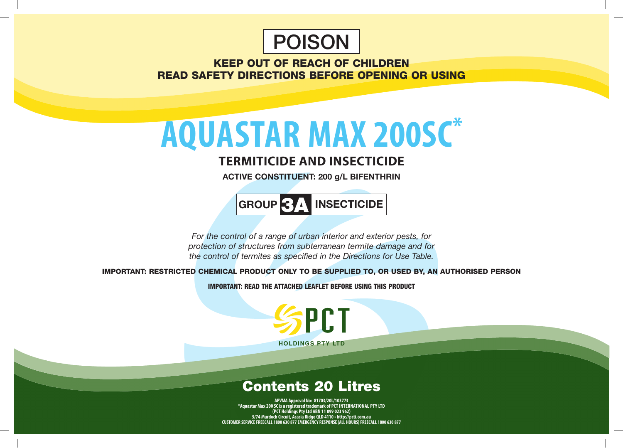

KEEP OUT OF REACH OF CHILDREN READ SAFETY DIRECTIONS BEFORE OPENING OR USING

# **aquastar MAX 200SC\***

### **Termiticide and Insecticide**

**ACTIVE CONSTITUENT: 200 g/L BIFENTHRIN**

**GROUP** 3A **INSECTICIDE**

*For the control of a range of urban interior and exterior pests, for protection of structures from subterranean termite damage and for the control of termites as specified in the Directions for Use Table.*

IMPORTANT: RESTRICTED CHEMICAL PRODUCT ONLY TO BE SUPPLIED TO, OR USED BY, AN AUTHORISED PERSON

IMPORTANT: READ THE ATTACHED LEAFLET BEFORE USING THIS PRODUCT

**PCT HOLDINGS PTY LTD** 

## Contents 20 Litres

**APVMA Approval No: 81703/20L/103773 \*Aquastar Max 200 SC is a registered trademark of PCT International PTY LTD (PCT Holdings Pty Ltd ABN 11 099 023 962) 5/74 Murdoch Circuit, Acacia Ridge QLD 4110 • http://pcti.com.au CUSTOMER SERVICE FREECALL 1800 630 877 EMERGENCY RESPONSE (ALL HOURS) FREECALL 1800 630 877**